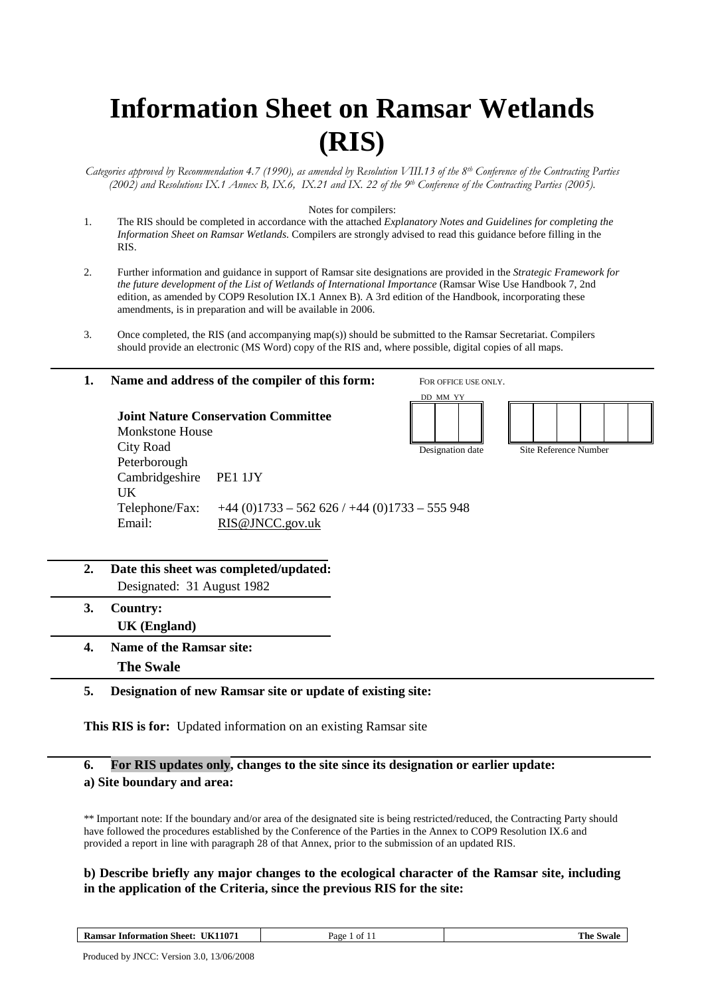# **Information Sheet on Ramsar Wetlands (RIS)**

*Categories approved by Recommendation 4.7 (1990), as amended by Resolution VIII.13 of the 8th Conference of the Contracting Parties (2002) and Resolutions IX.1 Annex B, IX.6, IX.21 and IX. 22 of the 9th Conference of the Contracting Parties (2005).* 

#### Notes for compilers:

- 1. The RIS should be completed in accordance with the attached *Explanatory Notes and Guidelines for completing the Information Sheet on Ramsar Wetlands*. Compilers are strongly advised to read this guidance before filling in the RIS.
- 2. Further information and guidance in support of Ramsar site designations are provided in the *Strategic Framework for the future development of the List of Wetlands of International Importance* (Ramsar Wise Use Handbook 7, 2nd edition, as amended by COP9 Resolution IX.1 Annex B). A 3rd edition of the Handbook, incorporating these amendments, is in preparation and will be available in 2006.
- 3. Once completed, the RIS (and accompanying map(s)) should be submitted to the Ramsar Secretariat. Compilers should provide an electronic (MS Word) copy of the RIS and, where possible, digital copies of all maps.

### **1. Name and address of the compiler of this form: Joint Nature Conservation Committee**  Monkstone House City Road Peterborough Cambridgeshire PE1 1JY UK Telephone/Fax: +44 (0)1733 – 562 626 / +44 (0)1733 – 555 948 Email: RIS@JNCC.gov.uk FOR OFFICE USE ONLY. DD MM YY Designation date Site Reference Number

- **2. Date this sheet was completed/updated:**  Designated: 31 August 1982
- **3. Country: UK (England)**
- **4. Name of the Ramsar site: The Swale**

#### **5. Designation of new Ramsar site or update of existing site:**

**This RIS is for:** Updated information on an existing Ramsar site

## **6. For RIS updates only, changes to the site since its designation or earlier update:**

#### **a) Site boundary and area:**

\*\* Important note: If the boundary and/or area of the designated site is being restricted/reduced, the Contracting Party should have followed the procedures established by the Conference of the Parties in the Annex to COP9 Resolution IX.6 and provided a report in line with paragraph 28 of that Annex, prior to the submission of an updated RIS.

#### **b) Describe briefly any major changes to the ecological character of the Ramsar site, including in the application of the Criteria, since the previous RIS for the site:**

**Ramsar Information Sheet: UK11071 Page 1 of 11 Page 1 of 11 The Swale**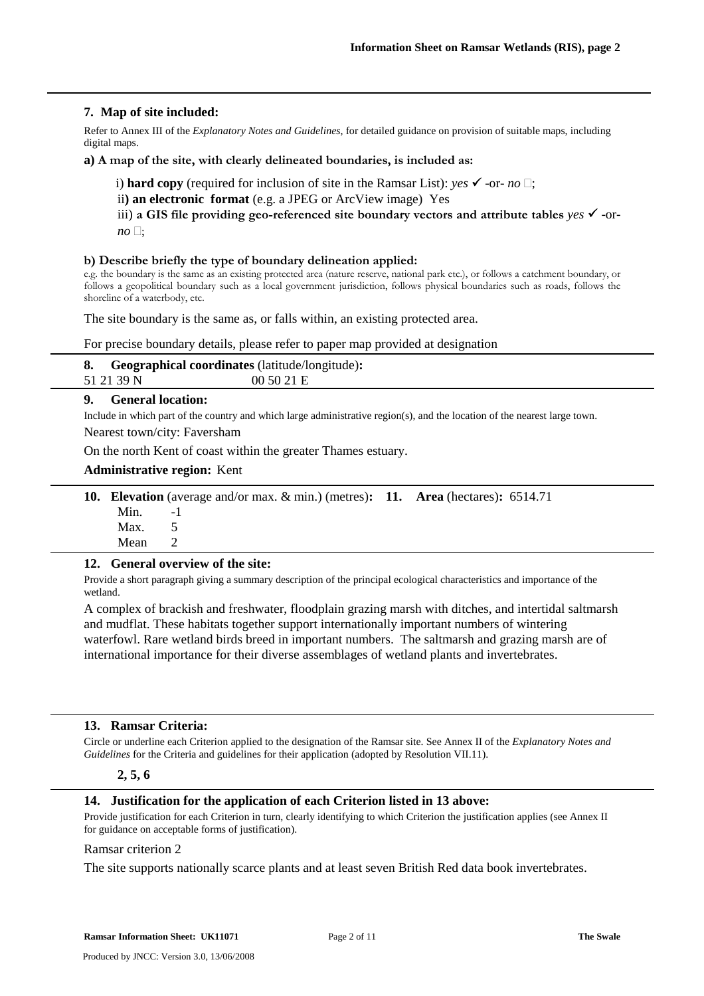#### **7. Map of site included:**

Refer to Annex III of the *Explanatory Notes and Guidelines*, for detailed guidance on provision of suitable maps, including digital maps.

**a) A map of the site, with clearly delineated boundaries, is included as:**

i) **hard copy** (required for inclusion of site in the Ramsar List): *yes*  $\checkmark$  -or- *no*  $\Box$ ;

ii**) an electronic format** (e.g. a JPEG or ArcView image) Yes

iii) a GIS file providing geo-referenced site boundary vectors and attribute tables  $\gamma$  -or $no \square;$ 

#### **b) Describe briefly the type of boundary delineation applied:**

e.g. the boundary is the same as an existing protected area (nature reserve, national park etc.), or follows a catchment boundary, or follows a geopolitical boundary such as a local government jurisdiction, follows physical boundaries such as roads, follows the shoreline of a waterbody, etc.

The site boundary is the same as, or falls within, an existing protected area.

For precise boundary details, please refer to paper map provided at designation

| <b>8.</b> Geographical coordinates (latitude/longitude): |         |
|----------------------------------------------------------|---------|
| 51 21 39 N                                               | 005021E |

#### **9. General location:**

Include in which part of the country and which large administrative region(s), and the location of the nearest large town. Nearest town/city: Faversham

On the north Kent of coast within the greater Thames estuary.

#### **Administrative region:** Kent

|             | <b>10. Elevation</b> (average and/or max. $\&$ min.) (metres): <b>11.</b> Area (hectares): 6514.71 |  |  |
|-------------|----------------------------------------------------------------------------------------------------|--|--|
| $Min.$ $-1$ |                                                                                                    |  |  |
| Max. $5$    |                                                                                                    |  |  |
| Mean 2      |                                                                                                    |  |  |

#### **12. General overview of the site:**

Provide a short paragraph giving a summary description of the principal ecological characteristics and importance of the wetland.

A complex of brackish and freshwater, floodplain grazing marsh with ditches, and intertidal saltmarsh and mudflat. These habitats together support internationally important numbers of wintering waterfowl. Rare wetland birds breed in important numbers. The saltmarsh and grazing marsh are of international importance for their diverse assemblages of wetland plants and invertebrates.

#### **13. Ramsar Criteria:**

Circle or underline each Criterion applied to the designation of the Ramsar site. See Annex II of the *Explanatory Notes and Guidelines* for the Criteria and guidelines for their application (adopted by Resolution VII.11).

#### **2, 5, 6**

#### **14. Justification for the application of each Criterion listed in 13 above:**

Provide justification for each Criterion in turn, clearly identifying to which Criterion the justification applies (see Annex II for guidance on acceptable forms of justification).

#### Ramsar criterion 2

The site supports nationally scarce plants and at least seven British Red data book invertebrates.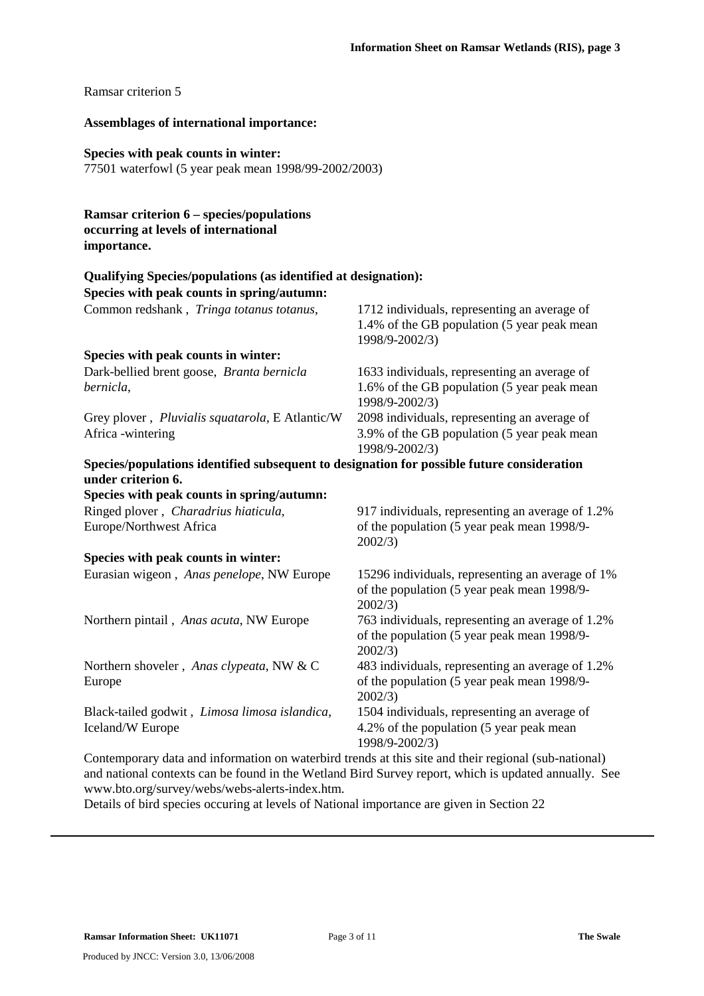#### Ramsar criterion 5

#### **Assemblages of international importance:**

#### **Species with peak counts in winter:**

77501 waterfowl (5 year peak mean 1998/99-2002/2003)

#### **Ramsar criterion 6 – species/populations occurring at levels of international importance.**

#### **Qualifying Species/populations (as identified at designation):**

**Species with peak counts in spring/autumn:** 

| Common redshank, Tringa totanus totanus,                                                   | 1712 individuals, representing an average of     |
|--------------------------------------------------------------------------------------------|--------------------------------------------------|
|                                                                                            | 1.4% of the GB population (5 year peak mean      |
|                                                                                            | 1998/9-2002/3)                                   |
| Species with peak counts in winter:                                                        |                                                  |
| Dark-bellied brent goose, Branta bernicla                                                  | 1633 individuals, representing an average of     |
| bernicla,                                                                                  | 1.6% of the GB population (5 year peak mean      |
|                                                                                            | 1998/9-2002/3)                                   |
| Grey plover, <i>Pluvialis squatarola</i> , E Atlantic/W                                    | 2098 individuals, representing an average of     |
| Africa -wintering                                                                          | 3.9% of the GB population (5 year peak mean      |
|                                                                                            | 1998/9-2002/3)                                   |
| Species/populations identified subsequent to designation for possible future consideration |                                                  |
| under criterion 6.                                                                         |                                                  |
| Species with peak counts in spring/autumn:                                                 |                                                  |
| Ringed plover, Charadrius hiaticula,                                                       | 917 individuals, representing an average of 1.2% |
| Europe/Northwest Africa                                                                    | of the population (5 year peak mean 1998/9-      |
|                                                                                            |                                                  |

### **Species with peak counts in winter:**

Eurasian wigeon, *Anas penelope*, NW Europe 15296 individuals, representing an average of 1% of the population (5 year peak mean 1998/9- 2002/3) Northern pintail , *Anas acuta*, NW Europe 763 individuals, representing an average of 1.2% of the population (5 year peak mean 1998/9- 2002/3) Northern shoveler , *Anas clypeata*, NW & C Europe 483 individuals, representing an average of 1.2% of the population (5 year peak mean 1998/9- 2002/3) Black-tailed godwit , *Limosa limosa islandica*, Iceland/W Europe 1504 individuals, representing an average of 4.2% of the population (5 year peak mean

2002/3)

Contemporary data and information on waterbird trends at this site and their regional (sub-national) and national contexts can be found in the Wetland Bird Survey report, which is updated annually. See www.bto.org/survey/webs/webs-alerts-index.htm.

1998/9-2002/3)

Details of bird species occuring at levels of National importance are given in Section 22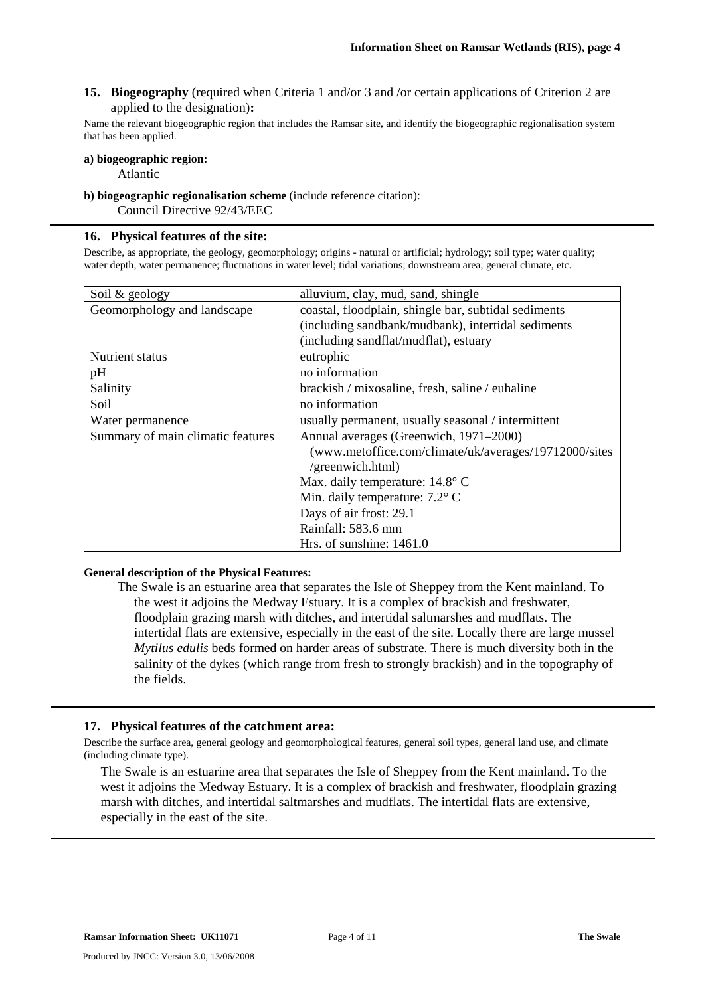**15. Biogeography** (required when Criteria 1 and/or 3 and /or certain applications of Criterion 2 are applied to the designation)**:** 

Name the relevant biogeographic region that includes the Ramsar site, and identify the biogeographic regionalisation system that has been applied.

#### **a) biogeographic region:**

Atlantic

**b) biogeographic regionalisation scheme** (include reference citation):

Council Directive 92/43/EEC

#### **16. Physical features of the site:**

Describe, as appropriate, the geology, geomorphology; origins - natural or artificial; hydrology; soil type; water quality; water depth, water permanence; fluctuations in water level; tidal variations; downstream area; general climate, etc.

| Soil & geology                    | alluvium, clay, mud, sand, shingle                    |  |  |
|-----------------------------------|-------------------------------------------------------|--|--|
| Geomorphology and landscape       | coastal, floodplain, shingle bar, subtidal sediments  |  |  |
|                                   | (including sandbank/mudbank), intertidal sediments    |  |  |
|                                   | (including sandflat/mudflat), estuary                 |  |  |
| Nutrient status                   | eutrophic                                             |  |  |
| pH                                | no information                                        |  |  |
| Salinity                          | brackish / mixosaline, fresh, saline / euhaline       |  |  |
| Soil                              | no information                                        |  |  |
| Water permanence                  | usually permanent, usually seasonal / intermittent    |  |  |
| Summary of main climatic features | Annual averages (Greenwich, 1971–2000)                |  |  |
|                                   | (www.metoffice.com/climate/uk/averages/19712000/sites |  |  |
|                                   | /greenwich.html)                                      |  |  |
|                                   | Max. daily temperature: 14.8° C                       |  |  |
|                                   | Min. daily temperature: $7.2^{\circ}$ C               |  |  |
|                                   | Days of air frost: 29.1                               |  |  |
|                                   | Rainfall: 583.6 mm                                    |  |  |
|                                   | Hrs. of sunshine: $1461.0$                            |  |  |

#### **General description of the Physical Features:**

The Swale is an estuarine area that separates the Isle of Sheppey from the Kent mainland. To the west it adjoins the Medway Estuary. It is a complex of brackish and freshwater, floodplain grazing marsh with ditches, and intertidal saltmarshes and mudflats. The intertidal flats are extensive, especially in the east of the site. Locally there are large mussel *Mytilus edulis* beds formed on harder areas of substrate. There is much diversity both in the salinity of the dykes (which range from fresh to strongly brackish) and in the topography of the fields.

#### **17. Physical features of the catchment area:**

Describe the surface area, general geology and geomorphological features, general soil types, general land use, and climate (including climate type).

The Swale is an estuarine area that separates the Isle of Sheppey from the Kent mainland. To the west it adjoins the Medway Estuary. It is a complex of brackish and freshwater, floodplain grazing marsh with ditches, and intertidal saltmarshes and mudflats. The intertidal flats are extensive, especially in the east of the site.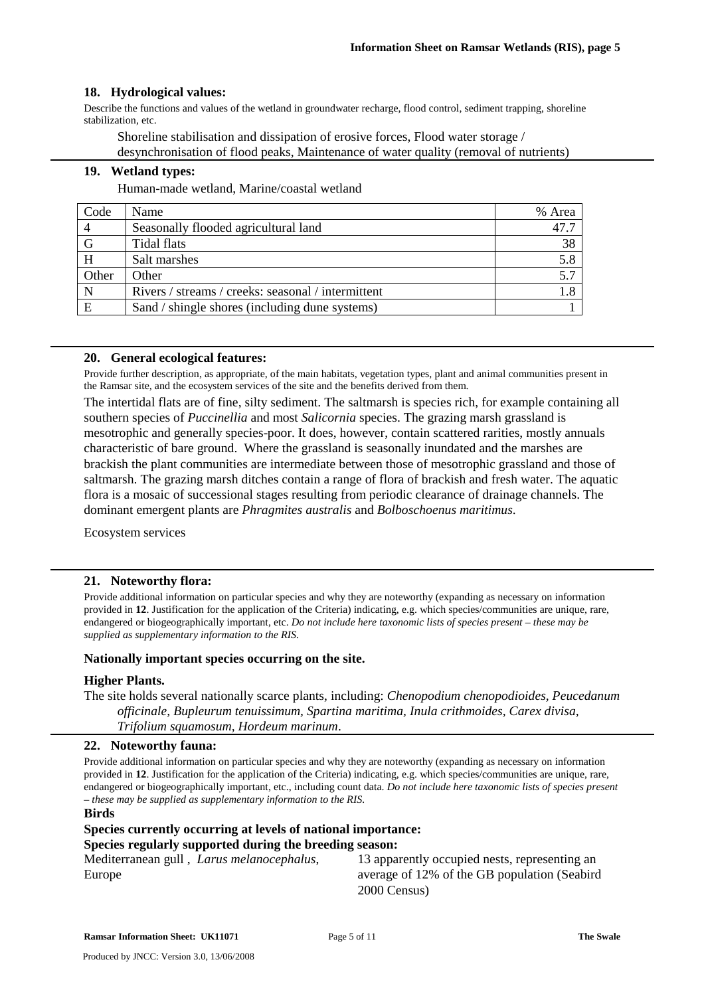#### **18. Hydrological values:**

Describe the functions and values of the wetland in groundwater recharge, flood control, sediment trapping, shoreline stabilization, etc.

Shoreline stabilisation and dissipation of erosive forces, Flood water storage / desynchronisation of flood peaks, Maintenance of water quality (removal of nutrients)

#### **19. Wetland types:**

Human-made wetland, Marine/coastal wetland

| Code  | Name                                               | % Area |
|-------|----------------------------------------------------|--------|
|       | Seasonally flooded agricultural land               | 47.7   |
| G     | Tidal flats                                        | 38     |
| H     | Salt marshes                                       | 5.8    |
| Other | Other                                              | 5.7    |
|       | Rivers / streams / creeks: seasonal / intermittent |        |
| E     | Sand / shingle shores (including dune systems)     |        |

#### **20. General ecological features:**

Provide further description, as appropriate, of the main habitats, vegetation types, plant and animal communities present in the Ramsar site, and the ecosystem services of the site and the benefits derived from them.

The intertidal flats are of fine, silty sediment. The saltmarsh is species rich, for example containing all southern species of *Puccinellia* and most *Salicornia* species. The grazing marsh grassland is mesotrophic and generally species-poor. It does, however, contain scattered rarities, mostly annuals characteristic of bare ground. Where the grassland is seasonally inundated and the marshes are brackish the plant communities are intermediate between those of mesotrophic grassland and those of saltmarsh. The grazing marsh ditches contain a range of flora of brackish and fresh water. The aquatic flora is a mosaic of successional stages resulting from periodic clearance of drainage channels. The dominant emergent plants are *Phragmites australis* and *Bolboschoenus maritimus*.

Ecosystem services

#### **21. Noteworthy flora:**

Provide additional information on particular species and why they are noteworthy (expanding as necessary on information provided in **12**. Justification for the application of the Criteria) indicating, e.g. which species/communities are unique, rare, endangered or biogeographically important, etc. *Do not include here taxonomic lists of species present – these may be supplied as supplementary information to the RIS.* 

#### **Nationally important species occurring on the site.**

#### **Higher Plants.**

The site holds several nationally scarce plants, including: *Chenopodium chenopodioides, Peucedanum officinale, Bupleurum tenuissimum, Spartina maritima, Inula crithmoides, Carex divisa, Trifolium squamosum, Hordeum marinum*.

#### **22. Noteworthy fauna:**

Provide additional information on particular species and why they are noteworthy (expanding as necessary on information provided in **12**. Justification for the application of the Criteria) indicating, e.g. which species/communities are unique, rare, endangered or biogeographically important, etc., including count data. *Do not include here taxonomic lists of species present – these may be supplied as supplementary information to the RIS.* 

#### **Birds**

#### **Species currently occurring at levels of national importance: Species regularly supported during the breeding season:**

Mediterranean gull , *Larus melanocephalus*, Europe

13 apparently occupied nests, representing an average of 12% of the GB population (Seabird 2000 Census)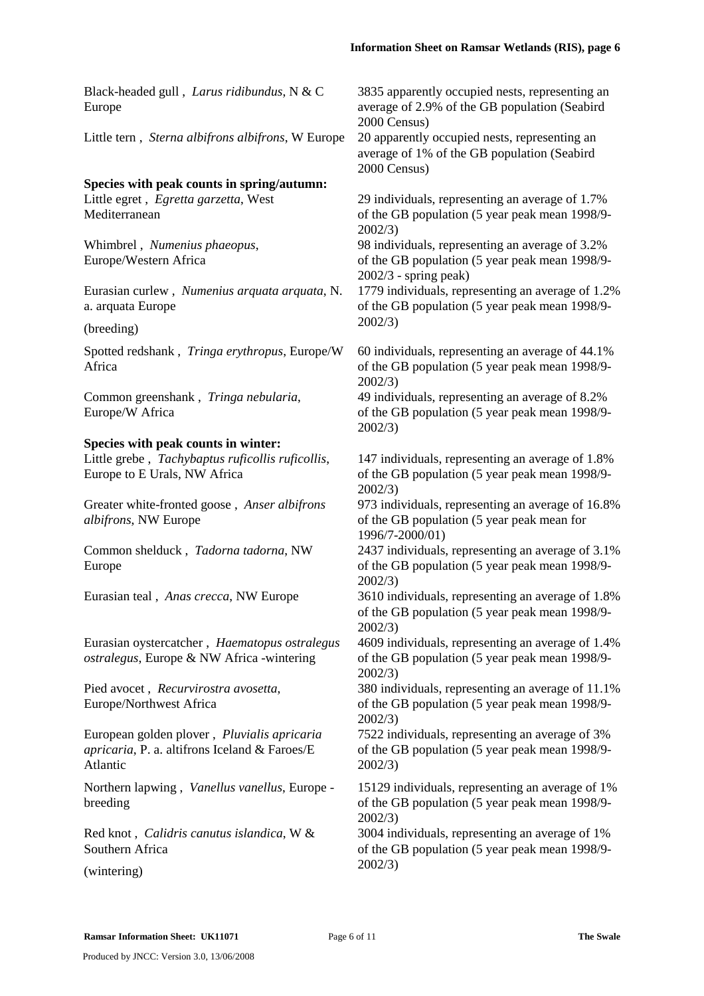Black-headed gull , *Larus ridibundus*, N & C Europe

Little tern , *Sterna albifrons albifrons*, W Europe 20 apparently occupied nests, representing an

#### **Species with peak counts in spring/autumn:**

Little egret , *Egretta garzetta*, West Mediterranean

Whimbrel , *Numenius phaeopus*, Europe/Western Africa

Eurasian curlew , *Numenius arquata arquata*, N. a. arquata Europe

(breeding)

Spotted redshank , *Tringa erythropus*, Europe/W Africa

Common greenshank , *Tringa nebularia*, Europe/W Africa

#### **Species with peak counts in winter:**

Little grebe , *Tachybaptus ruficollis ruficollis*, Europe to E Urals, NW Africa

Greater white-fronted goose , *Anser albifrons albifrons*, NW Europe

Common shelduck , *Tadorna tadorna*, NW Europe

Eurasian oystercatcher , *Haematopus ostralegus ostralegus*, Europe & NW Africa -wintering

Pied avocet , *Recurvirostra avosetta*, Europe/Northwest Africa

European golden plover , *Pluvialis apricaria apricaria*, P. a. altifrons Iceland & Faroes/E Atlantic

Northern lapwing , *Vanellus vanellus*, Europe breeding

Red knot , *Calidris canutus islandica*, W & Southern Africa

(wintering)

3835 apparently occupied nests, representing an average of 2.9% of the GB population (Seabird 2000 Census)

average of 1% of the GB population (Seabird 2000 Census)

29 individuals, representing an average of 1.7% of the GB population (5 year peak mean 1998/9- 2002/3)

98 individuals, representing an average of 3.2% of the GB population (5 year peak mean 1998/9- 2002/3 - spring peak)

1779 individuals, representing an average of 1.2% of the GB population (5 year peak mean 1998/9- 2002/3)

60 individuals, representing an average of 44.1% of the GB population (5 year peak mean 1998/9- 2002/3)

49 individuals, representing an average of 8.2% of the GB population (5 year peak mean 1998/9- 2002/3)

147 individuals, representing an average of 1.8% of the GB population (5 year peak mean 1998/9- 2002/3)

973 individuals, representing an average of 16.8% of the GB population (5 year peak mean for 1996/7-2000/01)

2437 individuals, representing an average of 3.1% of the GB population (5 year peak mean 1998/9- 2002/3)

Eurasian teal , *Anas crecca*, NW Europe 3610 individuals, representing an average of 1.8% of the GB population (5 year peak mean 1998/9- 2002/3)

> 4609 individuals, representing an average of 1.4% of the GB population (5 year peak mean 1998/9- 2002/3)

> 380 individuals, representing an average of 11.1% of the GB population (5 year peak mean 1998/9- 2002/3)

7522 individuals, representing an average of 3% of the GB population (5 year peak mean 1998/9- 2002/3)

15129 individuals, representing an average of 1% of the GB population (5 year peak mean 1998/9- 2002/3)

3004 individuals, representing an average of 1% of the GB population (5 year peak mean 1998/9- 2002/3)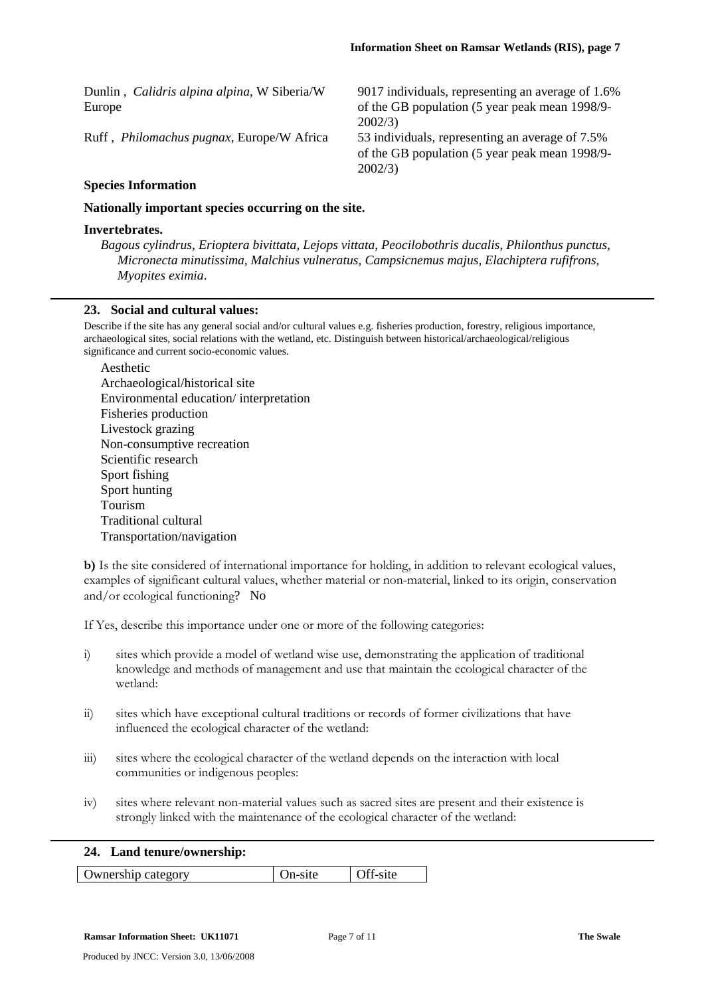Dunlin , *Calidris alpina alpina*, W Siberia/W Europe 9017 individuals, representing an average of 1.6% of the GB population (5 year peak mean 1998/9- 2002/3) Ruff , *Philomachus pugnax*, Europe/W Africa 53 individuals, representing an average of 7.5% of the GB population (5 year peak mean 1998/9- 2002/3) **Species Information** 

**Nationally important species occurring on the site.** 

#### **Invertebrates.**

*Bagous cylindrus, Erioptera bivittata, Lejops vittata, Peocilobothris ducalis, Philonthus punctus, Micronecta minutissima, Malchius vulneratus, Campsicnemus majus, Elachiptera rufifrons, Myopites eximia*.

#### **23. Social and cultural values:**

Describe if the site has any general social and/or cultural values e.g. fisheries production, forestry, religious importance, archaeological sites, social relations with the wetland, etc. Distinguish between historical/archaeological/religious significance and current socio-economic values.

Aesthetic

**b)** Is the site considered of international importance for holding, in addition to relevant ecological values, examples of significant cultural values, whether material or non-material, linked to its origin, conservation and/or ecological functioning? No

If Yes, describe this importance under one or more of the following categories:

- i) sites which provide a model of wetland wise use, demonstrating the application of traditional knowledge and methods of management and use that maintain the ecological character of the wetland:
- ii) sites which have exceptional cultural traditions or records of former civilizations that have influenced the ecological character of the wetland:
- iii) sites where the ecological character of the wetland depends on the interaction with local communities or indigenous peoples:
- iv) sites where relevant non-material values such as sacred sites are present and their existence is strongly linked with the maintenance of the ecological character of the wetland:

#### **24. Land tenure/ownership:**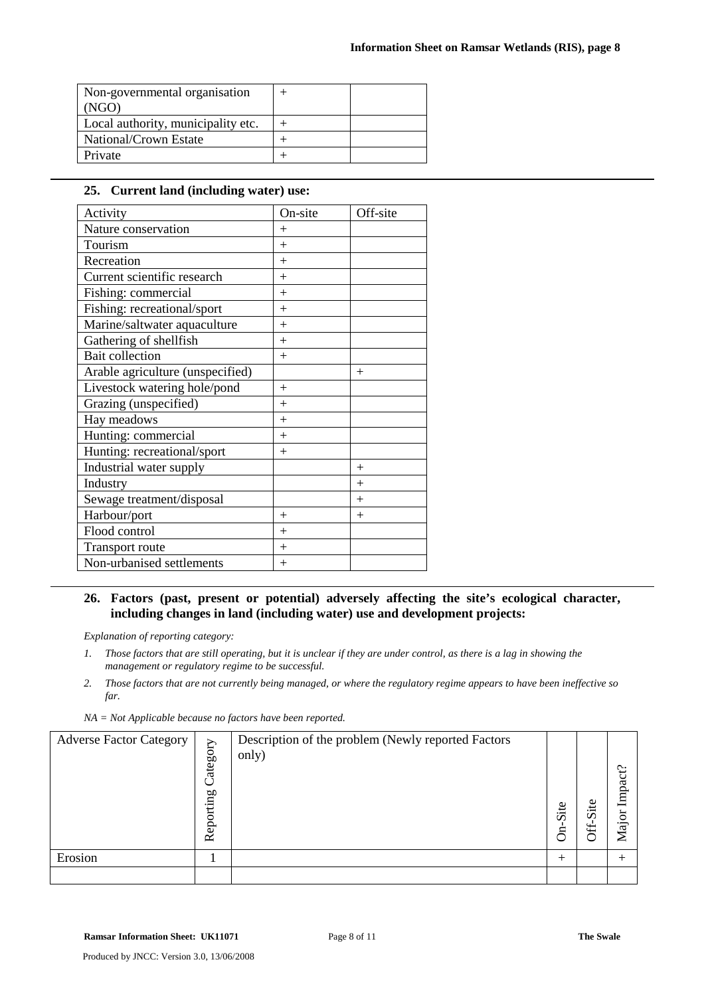| Non-governmental organisation      |  |
|------------------------------------|--|
| (NGO)                              |  |
| Local authority, municipality etc. |  |
| National/Crown Estate              |  |
| Private                            |  |

#### **25. Current land (including water) use:**

| Activity                         | On-site | Off-site |
|----------------------------------|---------|----------|
| Nature conservation              | $^{+}$  |          |
| Tourism                          | $+$     |          |
| Recreation                       | $+$     |          |
| Current scientific research      | $+$     |          |
| Fishing: commercial              | $+$     |          |
| Fishing: recreational/sport      | $+$     |          |
| Marine/saltwater aquaculture     | $^{+}$  |          |
| Gathering of shellfish           | $+$     |          |
| <b>Bait collection</b>           | $+$     |          |
| Arable agriculture (unspecified) |         | $^{+}$   |
| Livestock watering hole/pond     | $+$     |          |
| Grazing (unspecified)            | $^{+}$  |          |
| Hay meadows                      | $+$     |          |
| Hunting: commercial              | $+$     |          |
| Hunting: recreational/sport      | $^{+}$  |          |
| Industrial water supply          |         | $^{+}$   |
| Industry                         |         | $+$      |
| Sewage treatment/disposal        |         | $^{+}$   |
| Harbour/port                     | $+$     | $+$      |
| Flood control                    | $^{+}$  |          |
| Transport route                  | $+$     |          |
| Non-urbanised settlements        | $+$     |          |

#### **26. Factors (past, present or potential) adversely affecting the site's ecological character, including changes in land (including water) use and development projects:**

*Explanation of reporting category:* 

*2. Those factors that are not currently being managed, or where the regulatory regime appears to have been ineffective so far.* 

|  |  | $NA = Not$ Applicable because no factors have been reported. |
|--|--|--------------------------------------------------------------|
|--|--|--------------------------------------------------------------|

| <b>Adverse Factor Category</b> | Category<br>Reporting | Description of the problem (Newly reported Factors<br>only) | Site<br>È | ഋ<br>$\cdot$ $-$<br>$\Omega$ | $\tilde{\phantom{a}}$<br>≂<br>Lmp<br><u>:ति</u><br>ー<br>▱ |
|--------------------------------|-----------------------|-------------------------------------------------------------|-----------|------------------------------|-----------------------------------------------------------|
| Erosion                        |                       |                                                             | $\pm$     |                              |                                                           |
|                                |                       |                                                             |           |                              |                                                           |

*<sup>1.</sup> Those factors that are still operating, but it is unclear if they are under control, as there is a lag in showing the management or regulatory regime to be successful.*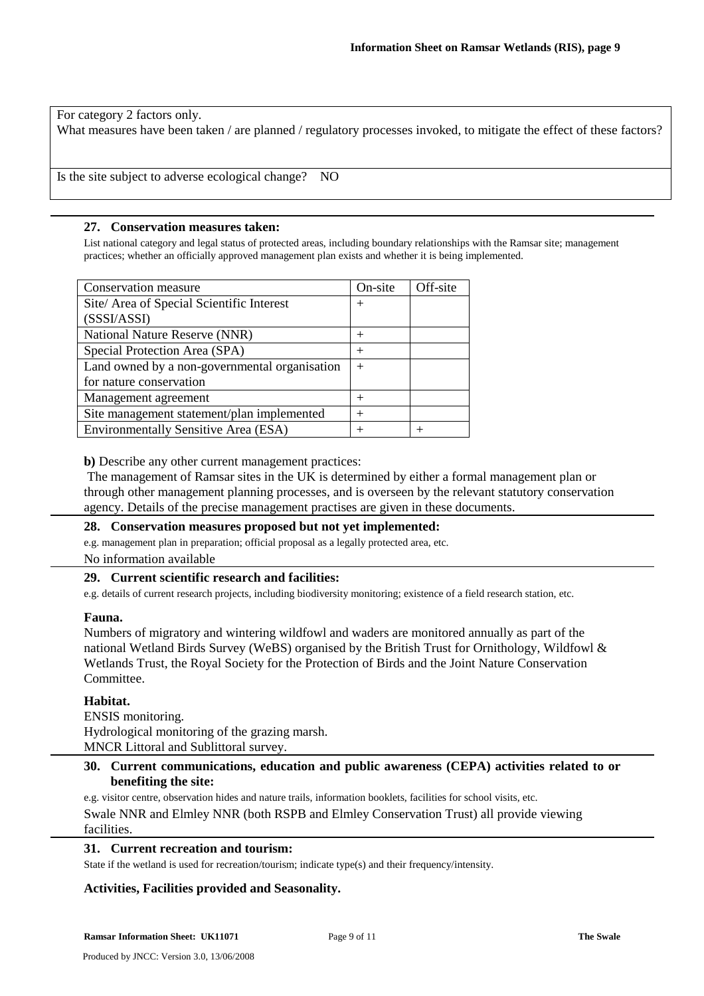For category 2 factors only.

What measures have been taken / are planned / regulatory processes invoked, to mitigate the effect of these factors?

Is the site subject to adverse ecological change? NO

#### **27. Conservation measures taken:**

List national category and legal status of protected areas, including boundary relationships with the Ramsar site; management practices; whether an officially approved management plan exists and whether it is being implemented.

| Conservation measure                          | On-site | Off-site |
|-----------------------------------------------|---------|----------|
| Site/ Area of Special Scientific Interest     | $^{+}$  |          |
| (SSSI/ASSI)                                   |         |          |
| National Nature Reserve (NNR)                 | $^+$    |          |
| Special Protection Area (SPA)                 | $\pm$   |          |
| Land owned by a non-governmental organisation | $+$     |          |
| for nature conservation                       |         |          |
| Management agreement                          | $^+$    |          |
| Site management statement/plan implemented    | $\pm$   |          |
| <b>Environmentally Sensitive Area (ESA)</b>   |         |          |

**b)** Describe any other current management practices:

 The management of Ramsar sites in the UK is determined by either a formal management plan or through other management planning processes, and is overseen by the relevant statutory conservation agency. Details of the precise management practises are given in these documents.

#### **28. Conservation measures proposed but not yet implemented:**

e.g. management plan in preparation; official proposal as a legally protected area, etc.

No information available

#### **29. Current scientific research and facilities:**

e.g. details of current research projects, including biodiversity monitoring; existence of a field research station, etc.

#### **Fauna.**

Numbers of migratory and wintering wildfowl and waders are monitored annually as part of the national Wetland Birds Survey (WeBS) organised by the British Trust for Ornithology, Wildfowl & Wetlands Trust, the Royal Society for the Protection of Birds and the Joint Nature Conservation Committee.

#### **Habitat.**

ENSIS monitoring. Hydrological monitoring of the grazing marsh. MNCR Littoral and Sublittoral survey.

**30. Current communications, education and public awareness (CEPA) activities related to or benefiting the site:** 

e.g. visitor centre, observation hides and nature trails, information booklets, facilities for school visits, etc. Swale NNR and Elmley NNR (both RSPB and Elmley Conservation Trust) all provide viewing facilities.

#### **31. Current recreation and tourism:**

State if the wetland is used for recreation/tourism; indicate type(s) and their frequency/intensity.

#### **Activities, Facilities provided and Seasonality.**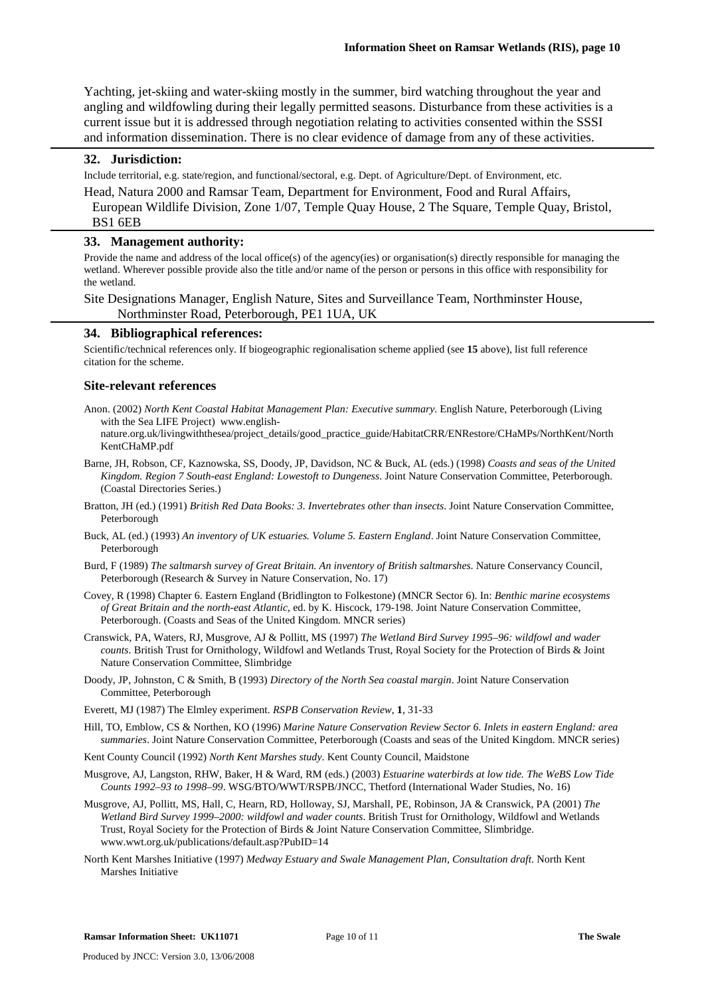Yachting, jet-skiing and water-skiing mostly in the summer, bird watching throughout the year and angling and wildfowling during their legally permitted seasons. Disturbance from these activities is a current issue but it is addressed through negotiation relating to activities consented within the SSSI and information dissemination. There is no clear evidence of damage from any of these activities.

#### **32. Jurisdiction:**

Include territorial, e.g. state/region, and functional/sectoral, e.g. Dept. of Agriculture/Dept. of Environment, etc.

Head, Natura 2000 and Ramsar Team, Department for Environment, Food and Rural Affairs, European Wildlife Division, Zone 1/07, Temple Quay House, 2 The Square, Temple Quay, Bristol,

#### BS1 6EB

#### **33. Management authority:**

Provide the name and address of the local office(s) of the agency(ies) or organisation(s) directly responsible for managing the wetland. Wherever possible provide also the title and/or name of the person or persons in this office with responsibility for the wetland.

Site Designations Manager, English Nature, Sites and Surveillance Team, Northminster House, Northminster Road, Peterborough, PE1 1UA, UK

#### **34. Bibliographical references:**

Scientific/technical references only. If biogeographic regionalisation scheme applied (see **15** above), list full reference citation for the scheme.

#### **Site-relevant references**

- Anon. (2002) *North Kent Coastal Habitat Management Plan: Executive summary*. English Nature, Peterborough (Living with the Sea LIFE Project) www.english
	- nature.org.uk/livingwiththesea/project\_details/good\_practice\_guide/HabitatCRR/ENRestore/CHaMPs/NorthKent/North KentCHaMP.pdf
- Barne, JH, Robson, CF, Kaznowska, SS, Doody, JP, Davidson, NC & Buck, AL (eds.) (1998) *Coasts and seas of the United Kingdom. Region 7 South-east England: Lowestoft to Dungeness*. Joint Nature Conservation Committee, Peterborough. (Coastal Directories Series.)
- Bratton, JH (ed.) (1991) *British Red Data Books: 3. Invertebrates other than insects*. Joint Nature Conservation Committee, Peterborough
- Buck, AL (ed.) (1993) *An inventory of UK estuaries. Volume 5. Eastern England*. Joint Nature Conservation Committee, Peterborough
- Burd, F (1989) *The saltmarsh survey of Great Britain. An inventory of British saltmarshes*. Nature Conservancy Council, Peterborough (Research & Survey in Nature Conservation, No. 17)
- Covey, R (1998) Chapter 6. Eastern England (Bridlington to Folkestone) (MNCR Sector 6). In: *Benthic marine ecosystems of Great Britain and the north-east Atlantic*, ed. by K. Hiscock, 179-198. Joint Nature Conservation Committee, Peterborough. (Coasts and Seas of the United Kingdom. MNCR series)
- Cranswick, PA, Waters, RJ, Musgrove, AJ & Pollitt, MS (1997) *The Wetland Bird Survey 1995–96: wildfowl and wader counts*. British Trust for Ornithology, Wildfowl and Wetlands Trust, Royal Society for the Protection of Birds & Joint Nature Conservation Committee, Slimbridge
- Doody, JP, Johnston, C & Smith, B (1993) *Directory of the North Sea coastal margin*. Joint Nature Conservation Committee, Peterborough
- Everett, MJ (1987) The Elmley experiment. *RSPB Conservation Review*, **1**, 31-33
- Hill, TO, Emblow, CS & Northen, KO (1996) *Marine Nature Conservation Review Sector 6. Inlets in eastern England: area summaries*. Joint Nature Conservation Committee, Peterborough (Coasts and seas of the United Kingdom. MNCR series)

Kent County Council (1992) *North Kent Marshes study*. Kent County Council, Maidstone

- Musgrove, AJ, Langston, RHW, Baker, H & Ward, RM (eds.) (2003) *Estuarine waterbirds at low tide. The WeBS Low Tide Counts 1992–93 to 1998–99*. WSG/BTO/WWT/RSPB/JNCC, Thetford (International Wader Studies, No. 16)
- Musgrove, AJ, Pollitt, MS, Hall, C, Hearn, RD, Holloway, SJ, Marshall, PE, Robinson, JA & Cranswick, PA (2001) *The Wetland Bird Survey 1999–2000: wildfowl and wader counts*. British Trust for Ornithology, Wildfowl and Wetlands Trust, Royal Society for the Protection of Birds & Joint Nature Conservation Committee, Slimbridge. www.wwt.org.uk/publications/default.asp?PubID=14
- North Kent Marshes Initiative (1997) *Medway Estuary and Swale Management Plan, Consultation draft*. North Kent Marshes Initiative